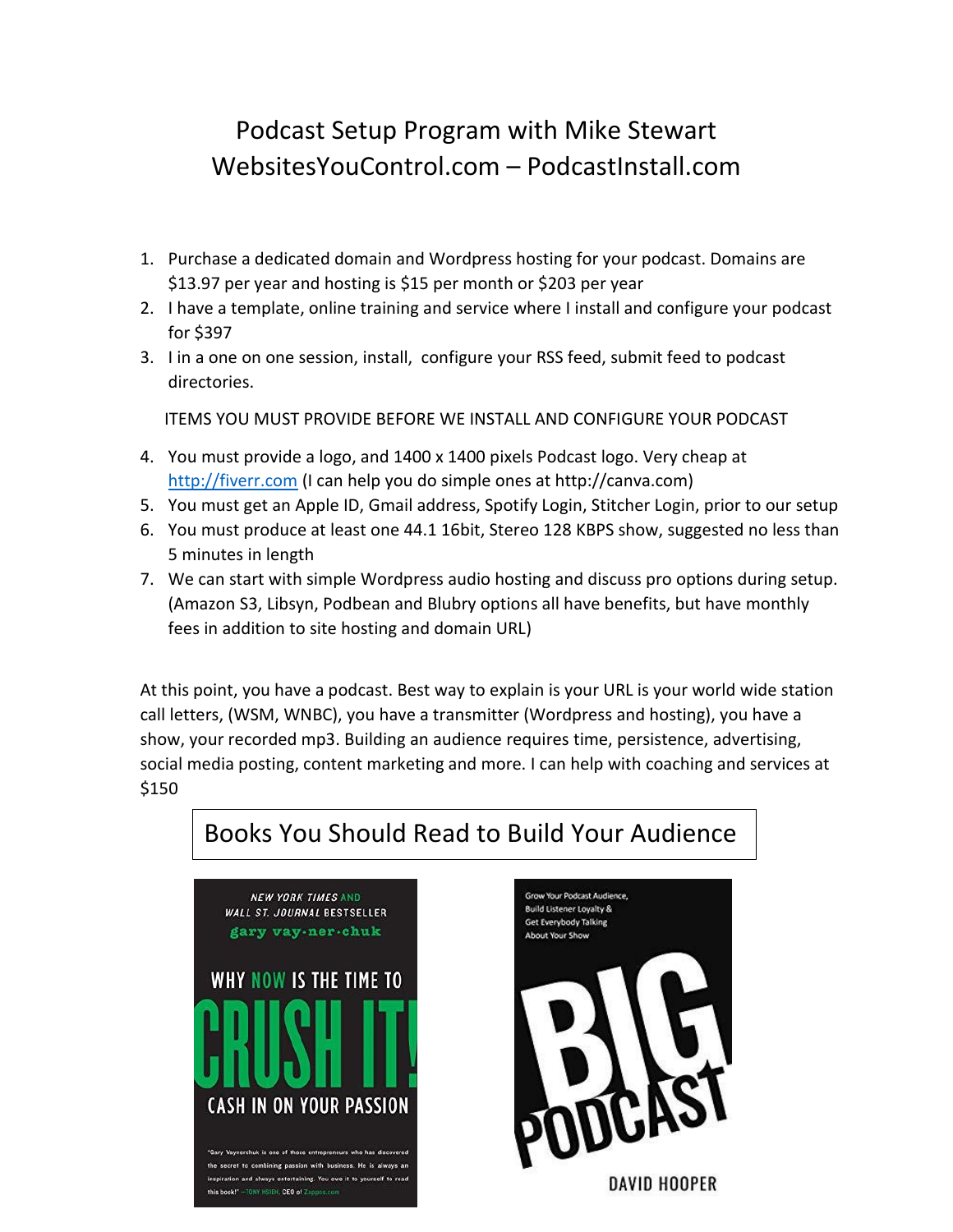## Podcast Setup Program with Mike Stewart WebsitesYouControl.com – PodcastInstall.com

- 1. Purchase a dedicated domain and Wordpress hosting for your podcast. Domains are \$13.97 per year and hosting is \$15 per month or \$203 per year
- 2. I have a template, online training and service where I install and configure your podcast for \$397
- 3. I in a one on one session, install, configure your RSS feed, submit feed to podcast directories.

ITEMS YOU MUST PROVIDE BEFORE WE INSTALL AND CONFIGURE YOUR PODCAST

- 4. You must provide a logo, and 1400 x 1400 pixels Podcast logo. Very cheap at [http://fiverr.com](http://fiverr.com/) (I can help you do simple ones at http://canva.com)
- 5. You must get an Apple ID, Gmail address, Spotify Login, Stitcher Login, prior to our setup
- 6. You must produce at least one 44.1 16bit, Stereo 128 KBPS show, suggested no less than 5 minutes in length
- 7. We can start with simple Wordpress audio hosting and discuss pro options during setup. (Amazon S3, Libsyn, Podbean and Blubry options all have benefits, but have monthly fees in addition to site hosting and domain URL)

At this point, you have a podcast. Best way to explain is your URL is your world wide station call letters, (WSM, WNBC), you have a transmitter (Wordpress and hosting), you have a show, your recorded mp3. Building an audience requires time, persistence, advertising, social media posting, content marketing and more. I can help with coaching and services at \$150

## Books You Should Read to Build Your Audience



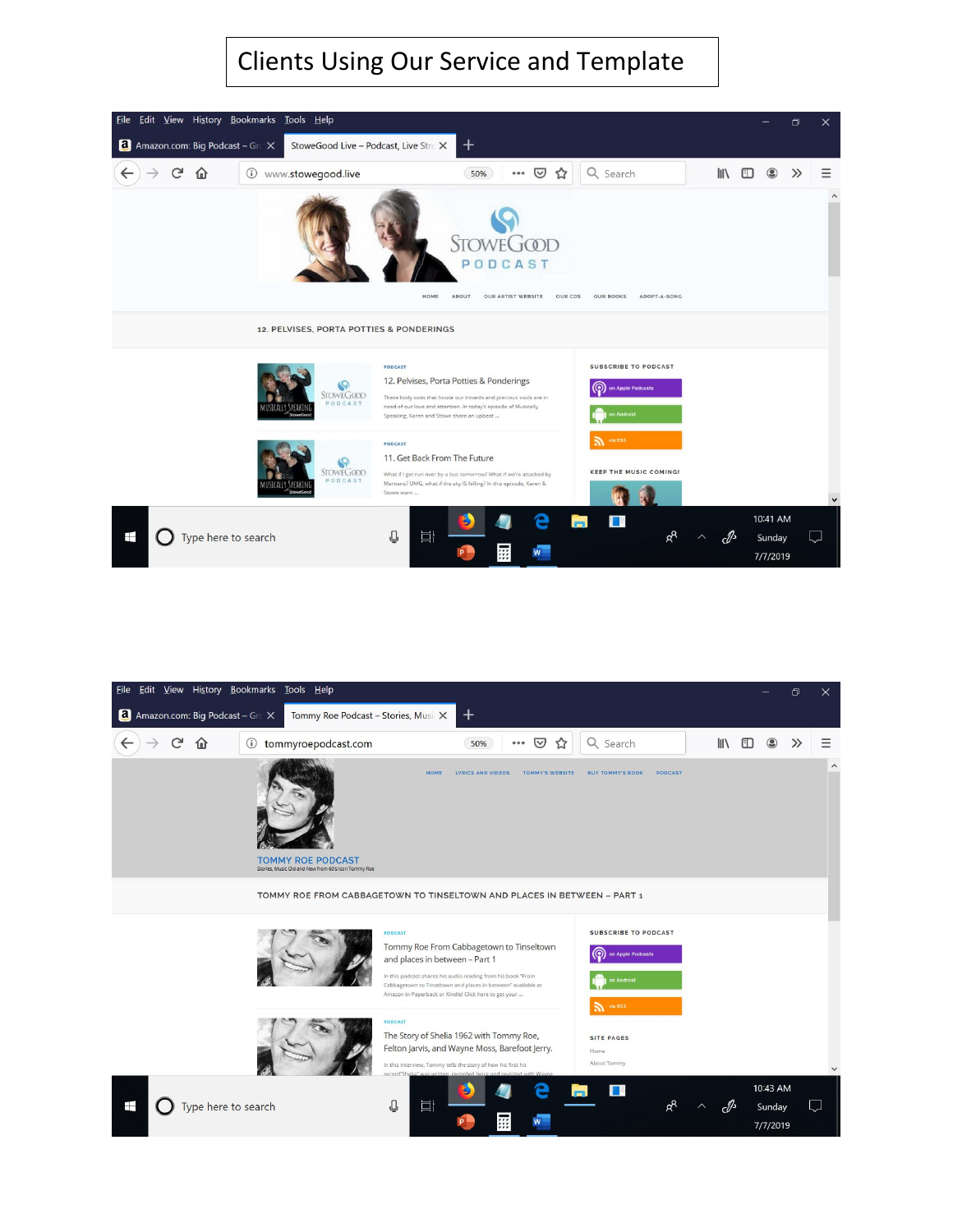## Clients Using Our Service and Template



| File Edit View History Bookmarks Tools Help     |                                                                                 |                                                                                                                                                                                                                                                                                        |                                                                                    |      |                                | O     | $\times$     |
|-------------------------------------------------|---------------------------------------------------------------------------------|----------------------------------------------------------------------------------------------------------------------------------------------------------------------------------------------------------------------------------------------------------------------------------------|------------------------------------------------------------------------------------|------|--------------------------------|-------|--------------|
| <b>a</b> Amazon.com: Big Podcast – Grc $\times$ | Tommy Roe Podcast - Stories, MusicX                                             | $\pm$                                                                                                                                                                                                                                                                                  |                                                                                    |      |                                |       |              |
| يى<br>ſa)                                       | tommyroepodcast.com<br>$\odot$                                                  | ☑<br>☆<br>50%<br>000                                                                                                                                                                                                                                                                   | Q Search                                                                           | l۱۱  |                                | $\gg$ | Ξ            |
|                                                 | <b>TOMMY ROE PODCAST</b><br>Stories, Music Old and New from 60's Icon Tommy Roe | HOME<br><b>LYRICS AND VIDEOS</b><br><b>TOMMY'S WEBSITE</b>                                                                                                                                                                                                                             | <b>PODCAST</b><br><b>BUY TOMMY'S BOOK</b>                                          |      |                                |       | $\land$      |
|                                                 |                                                                                 | TOMMY ROE FROM CABBAGETOWN TO TINSELTOWN AND PLACES IN BETWEEN - PART 1                                                                                                                                                                                                                |                                                                                    |      |                                |       |              |
|                                                 |                                                                                 | <b>PODCAST</b><br>Tommy Roe From Cabbagetown to Tinseltown<br>and places in between - Part 1<br>In this podcast shares his audio reading from his book "From<br>Cabbagetown to Tinseltown and places in between" available at<br>Amazon in Paperback or Kindle! Click here to get your | <b>SUBSCRIBE TO PODCAST</b><br>⊚<br>on Apple Podcasts<br>on Android<br>and via RSS |      |                                |       |              |
|                                                 |                                                                                 | <b>PODCAST</b><br>The Story of Shelia 1962 with Tommy Roe,<br>Felton Jarvis, and Wayne Moss, Barefoot Jerry.<br>In this interview, Tommy tells the story of how his first hit<br>P"brone"<br>lia" was written recorded t                                                               | <b>SITE PAGES</b><br>Home<br>About Tommy                                           |      |                                |       | $\checkmark$ |
| Ŧ<br>Type here to search                        |                                                                                 | ℚ<br>Ħ<br>霊                                                                                                                                                                                                                                                                            | 1 E<br>Q.                                                                          | באף- | 10:43 AM<br>Sunday<br>7/7/2019 |       |              |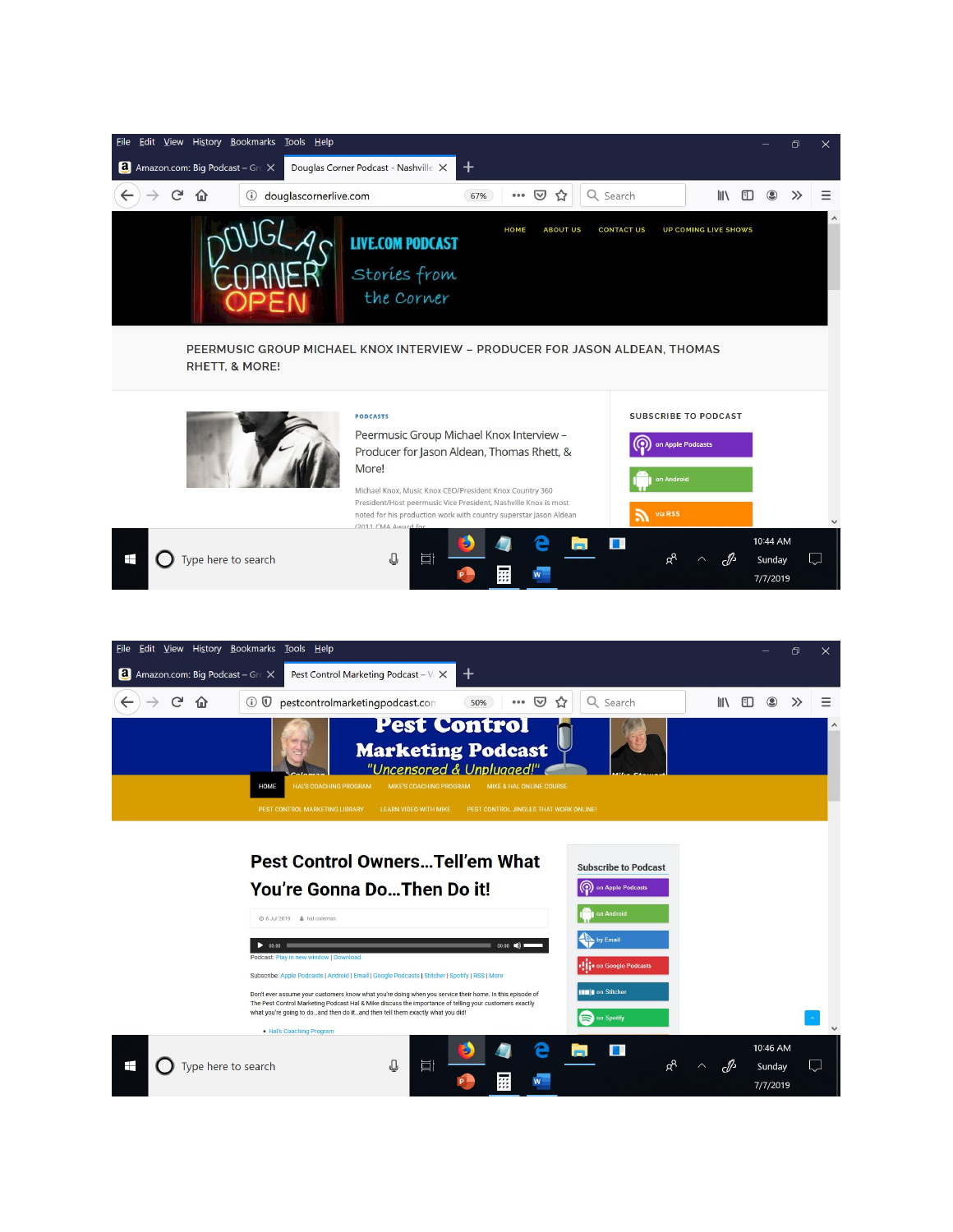